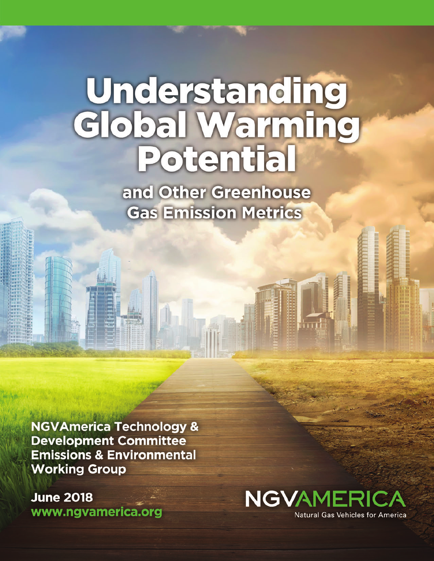# Understanding<br>Global Warming<br>Potential

and Other Greenhouse **Gas Emission Metrics** 

**NGVAmerica Technology & Development Committee Emissions & Environmental Working Group** 

**June 2018** www.ngvamerica.org

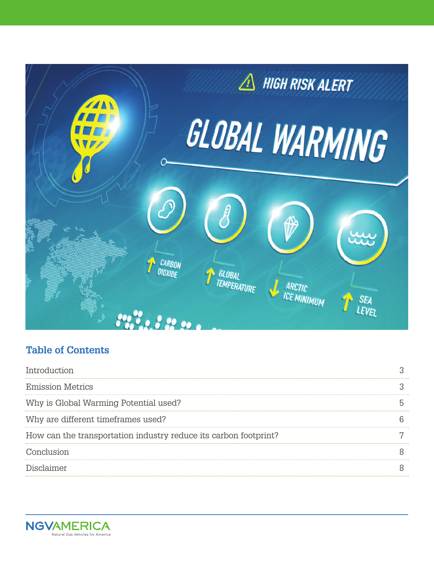

# **Table of Contents**

| Introduction                                                     |  |
|------------------------------------------------------------------|--|
| <b>Emission Metrics</b>                                          |  |
| Why is Global Warming Potential used?                            |  |
| Why are different timeframes used?                               |  |
| How can the transportation industry reduce its carbon footprint? |  |
| Conclusion                                                       |  |
| Disclaimer                                                       |  |
|                                                                  |  |

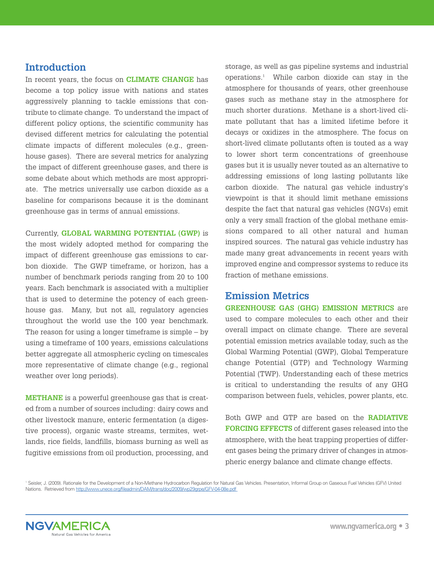#### **Introduction**

In recent years, the focus on **CLIMATE CHANGE** has become a top policy issue with nations and states aggressively planning to tackle emissions that contribute to climate change. To understand the impact of different policy options, the scientific community has devised different metrics for calculating the potential climate impacts of different molecules (e.g., greenhouse gases). There are several metrics for analyzing the impact of different greenhouse gases, and there is some debate about which methods are most appropriate. The metrics universally use carbon dioxide as a baseline for comparisons because it is the dominant greenhouse gas in terms of annual emissions.

Currently, **GLOBAL WARMING POTENTIAL (GWP)** is the most widely adopted method for comparing the impact of different greenhouse gas emissions to carbon dioxide. The GWP timeframe, or horizon, has a number of benchmark periods ranging from 20 to 100 years. Each benchmark is associated with a multiplier that is used to determine the potency of each greenhouse gas. Many, but not all, regulatory agencies throughout the world use the 100 year benchmark. The reason for using a longer timeframe is simple – by using a timeframe of 100 years, emissions calculations better aggregate all atmospheric cycling on timescales more representative of climate change (e.g., regional weather over long periods).

**METHANE** is a powerful greenhouse gas that is created from a number of sources including: dairy cows and other livestock manure, enteric fermentation (a digestive process), organic waste streams, termites, wetlands, rice fields, landfills, biomass burning as well as fugitive emissions from oil production, processing, and storage, as well as gas pipeline systems and industrial operations.1 While carbon dioxide can stay in the atmosphere for thousands of years, other greenhouse gases such as methane stay in the atmosphere for much shorter durations. Methane is a short-lived climate pollutant that has a limited lifetime before it decays or oxidizes in the atmosphere. The focus on short-lived climate pollutants often is touted as a way to lower short term concentrations of greenhouse gases but it is usually never touted as an alternative to addressing emissions of long lasting pollutants like carbon dioxide. The natural gas vehicle industry's viewpoint is that it should limit methane emissions despite the fact that natural gas vehicles (NGVs) emit only a very small fraction of the global methane emissions compared to all other natural and human inspired sources. The natural gas vehicle industry has made many great advancements in recent years with improved engine and compressor systems to reduce its fraction of methane emissions.

#### **Emission Metrics**

**GREENHOUSE GAS (GHG) EMISSION METRICS** are used to compare molecules to each other and their overall impact on climate change. There are several potential emission metrics available today, such as the Global Warming Potential (GWP), Global Temperature change Potential (GTP) and Technology Warming Potential (TWP). Understanding each of these metrics is critical to understanding the results of any GHG comparison between fuels, vehicles, power plants, etc.

Both GWP and GTP are based on the **RADIATIVE FORCING EFFECTS** of different gases released into the atmosphere, with the heat trapping properties of different gases being the primary driver of changes in atmospheric energy balance and climate change effects.

<sup>1</sup> Seisler, J. (2009). Rationale for the Development of a Non-Methane Hydrocarbon Regulation for Natural Gas Vehicles. Presentation, Informal Group on Gaseous Fuel Vehicles (GFV) United Nations. Retrieved from http://www.unece.org/fileadmin/DAM/trans/doc/2009/wp29grpe/GFV-04-08e.pdf

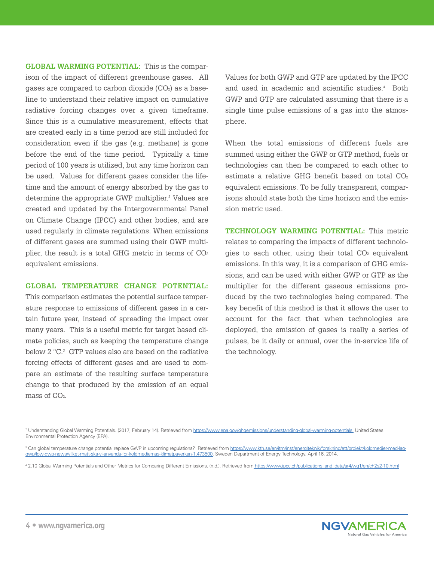**GLOBAL WARMING POTENTIAL:** This is the comparison of the impact of different greenhouse gases. All gases are compared to carbon dioxide  $(CO<sub>2</sub>)$  as a baseline to understand their relative impact on cumulative radiative forcing changes over a given timeframe. Since this is a cumulative measurement, effects that are created early in a time period are still included for consideration even if the gas (e.g. methane) is gone before the end of the time period. Typically a time period of 100 years is utilized, but any time horizon can be used. Values for different gases consider the lifetime and the amount of energy absorbed by the gas to determine the appropriate GWP multiplier.<sup>2</sup> Values are created and updated by the Intergovernmental Panel on Climate Change (IPCC) and other bodies, and are used regularly in climate regulations. When emissions of different gases are summed using their GWP multiplier, the result is a total GHG metric in terms of  $CO<sub>2</sub>$ equivalent emissions.

#### **GLOBAL TEMPERATURE CHANGE POTENTIAL:**

This comparison estimates the potential surface temperature response to emissions of different gases in a certain future year, instead of spreading the impact over many years. This is a useful metric for target based climate policies, such as keeping the temperature change below  $2^{\circ}C$ <sup>3</sup> GTP values also are based on the radiative forcing effects of different gases and are used to compare an estimate of the resulting surface temperature change to that produced by the emission of an equal mass of CO<sub>2</sub>.

Values for both GWP and GTP are updated by the IPCC and used in academic and scientific studies.<sup>4</sup> Both GWP and GTP are calculated assuming that there is a single time pulse emissions of a gas into the atmosphere.

When the total emissions of different fuels are summed using either the GWP or GTP method, fuels or technologies can then be compared to each other to estimate a relative GHG benefit based on total CO<sub>2</sub> equivalent emissions. To be fully transparent, comparisons should state both the time horizon and the emission metric used.

**TECHNOLOGY WARMING POTENTIAL:** This metric relates to comparing the impacts of different technologies to each other, using their total  $CO<sub>2</sub>$  equivalent emissions. In this way, it is a comparison of GHG emissions, and can be used with either GWP or GTP as the multiplier for the different gaseous emissions produced by the two technologies being compared. The key benefit of this method is that it allows the user to account for the fact that when technologies are deployed, the emission of gases is really a series of pulses, be it daily or annual, over the in-service life of the technology.

4 2.10 Global Warming Potentials and Other Metrics for Comparing Different Emissions. (n.d.). Retrieved from https://www.ipcc.ch/publications\_and\_data/ar4/wg1/en/ch2s2-10.html



<sup>&</sup>lt;sup>2</sup> Understanding Global Warming Potentials. (2017, February 14). Retrieved from https://www.epa.gov/ghgemissions/understanding-global-warming-potentials. United States Environmental Protection Agency (EPA).

<sup>&</sup>lt;sup>3</sup> Can global temperature change potential replace GWP in upcoming regulations? Retrieved from https://www.kth.se/en/itm/inst/energiteknik/forskning/ett/projekt/koldmedier-med-laggwp/low-gwp-news/vilket-matt-ska-vi-anvanda-for-koldmediernas-klimatpaverkan-1.473500. Sweden Department of Energy Technology. April 16, 2014.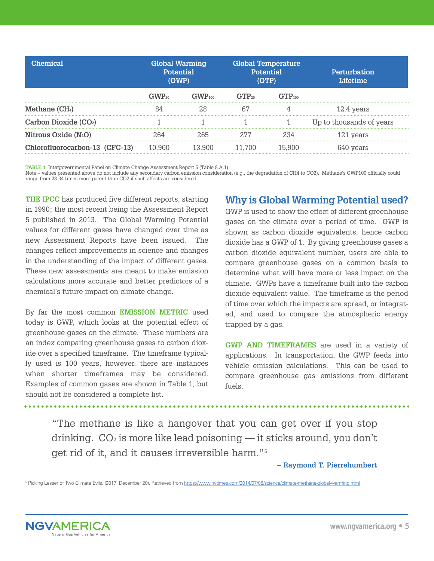| <b>Chemical</b>                  | <b>Global Warming</b><br><b>Potential</b><br>(GWP) |                              | <b>Global Temperature</b><br><b>Potential</b><br>(GTP) |             | <b>Perturbation</b><br>Lifetime |
|----------------------------------|----------------------------------------------------|------------------------------|--------------------------------------------------------|-------------|---------------------------------|
|                                  |                                                    | $\div$ WV $\mathbf{P}_{100}$ |                                                        | $GTP_{100}$ |                                 |
| Methane (CH <sub>4</sub> )       |                                                    |                              |                                                        |             | 12.4 years                      |
| Carbon Dioxide (CO2)             |                                                    |                              |                                                        |             | Up to thousands of years        |
| Nitrous Oxide (N <sub>2</sub> O) |                                                    | ノドト                          |                                                        |             | 121 years                       |
| Chlorofluorocarbon-13 (CFC-13)   |                                                    |                              |                                                        |             |                                 |

**TABLE 1** Intergovernmental Panel on Climate Change Assessment Report 5 (Table 8.A.1)

Note – values presented above do not include any secondary carbon emission consideration (e.g., the degradation of CH4 to CO2). Methane's GWP100 officially could range from 28-34 times more potent than CO2 if such affects are considered.

**THE IPCC** has produced five different reports, starting in 1990; the most recent being the Assessment Report 5 published in 2013. The Global Warming Potential values for different gases have changed over time as new Assessment Reports have been issued. The changes reflect improvements in science and changes in the understanding of the impact of different gases. These new assessments are meant to make emission calculations more accurate and better predictors of a chemical's future impact on climate change.

By far the most common **EMISSION METRIC** used today is GWP, which looks at the potential effect of greenhouse gases on the climate. These numbers are an index comparing greenhouse gases to carbon dioxide over a specified timeframe. The timeframe typically used is 100 years, however, there are instances when shorter timeframes may be considered. Examples of common gases are shown in Table 1, but should not be considered a complete list.

#### **Why is Global Warming Potential used?**

GWP is used to show the effect of different greenhouse gases on the climate over a period of time. GWP is shown as carbon dioxide equivalents, hence carbon dioxide has a GWP of 1. By giving greenhouse gases a carbon dioxide equivalent number, users are able to compare greenhouse gases on a common basis to determine what will have more or less impact on the climate. GWPs have a timeframe built into the carbon dioxide equivalent value. The timeframe is the period of time over which the impacts are spread, or integrated, and used to compare the atmospheric energy trapped by a gas.

**GWP AND TIMEFRAMES** are used in a variety of applications. In transportation, the GWP feeds into vehicle emission calculations. This can be used to compare greenhouse gas emissions from different fuels.

"The methane is like a hangover that you can get over if you stop drinking.  $CO<sub>2</sub>$  is more like lead poisoning — it sticks around, you don't get rid of it, and it causes irreversible harm."5

– **Raymond T. Pierrehumbert**

<sup>5</sup> Picking Lesser of Two Climate Evils. (2017, December 20). Retrieved from https://www.nytimes.com/2014/07/08/science/climate-methane-global-warming.html

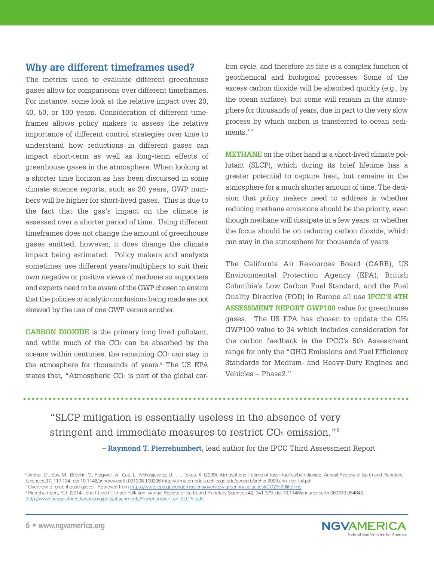## **Why are different timeframes used?**

The metrics used to evaluate different greenhouse gases allow for comparisons over different timeframes. For instance, some look at the relative impact over 20, 40, 50, or 100 years. Consideration of different timeframes allows policy makers to assess the relative importance of different control strategies over time to understand how reductions in different gases can impact short-term as well as long-term effects of greenhouse gases in the atmosphere. When looking at a shorter time horizon as has been discussed in some climate science reports, such as 20 years, GWP numbers will be higher for short-lived gases. This is due to the fact that the gas's impact on the climate is assessed over a shorter period of time. Using different timeframes does not change the amount of greenhouse gases emitted, however, it does change the climate impact being estimated. Policy makers and analysts sometimes use different years/multipliers to suit their own negative or positive views of methane so supporters and experts need to be aware of the GWP chosen to ensure that the policies or analytic conclusions being made are not skewed by the use of one GWP versus another.

**CARBON DIOXIDE** is the primary long lived pollutant, and while much of the  $CO<sub>2</sub>$  can be absorbed by the oceans within centuries, the remaining  $CO<sub>2</sub>$  can stay in the atmosphere for thousands of years.<sup>6</sup> The US EPA states that, "Atmospheric  $CO<sub>2</sub>$  is part of the global carbon cycle, and therefore its fate is a complex function of geochemical and biological processes. Some of the excess carbon dioxide will be absorbed quickly (e.g., by the ocean surface), but some will remain in the atmosphere for thousands of years, due in part to the very slow process by which carbon is transferred to ocean sediments."7

**METHANE** on the other hand is a short-lived climate pollutant (SLCP), which during its brief lifetime has a greater potential to capture heat, but remains in the atmosphere for a much shorter amount of time. The decision that policy makers need to address is whether reducing methane emissions should be the priority, even though methane will dissipate in a few years, or whether the focus should be on reducing carbon dioxide, which can stay in the atmosphere for thousands of years.

The California Air Resources Board (CARB), US Environmental Protection Agency (EPA), British Columbia's Low Carbon Fuel Standard, and the Fuel Quality Directive (FQD) in Europe all use **IPCC'S 4TH ASSESSMENT REPORT GWP100** value for greenhouse gases. The US EPA has chosen to update the CH4 GWP100 value to 34 which includes consideration for the carbon feedback in the IPCC's 5th Assessment range for only the "GHG Emissions and Fuel Efficiency Standards for Medium- and Heavy-Duty Engines and Vehicles – Phase2."

"SLCP mitigation is essentially useless in the absence of very stringent and immediate measures to restrict  $CO<sub>2</sub>$  emission."<sup>8</sup> – **Raymond T. Pierrehumbert,** lead author for the IPCC Third Assessment Report

<sup>6</sup> Archer, D., Eby, M., Brovkin, V., Ridgwell, A., Cao, L., Mikolajewicz, U., . . . Tokos, K. (2009). Atmospheric lifetime of fossil fuel carbon dioxide. Annual Review of Earth and Planetary Sciences,37, 117-134. doi:10.1146/annurev.earth.031208.100206 (http://climatemodels.uchicago.edu/geocarb/archer.2009.ann\_rev\_tail.pdf <sup>7</sup> Overview of greenhouse gases. Retrieved from https://www.epa.gov/ghgemissions/overview-greenhouse-gases#CO2%20lifetime

<sup>8</sup> Pierrehumbert, R.T. (2014). Short-Lived Climate Pollution. Annual Review of Earth and Planetary Sciences,42, 341-379. doi:10.1146/annurev.earth.060313-054843 (http://www.sequoiaforestkeeper.org/pdfs/attachments/Pierrehumbert\_on\_SLCPs.pdf)



. . . . . . . . . . . . . .

. . . . . .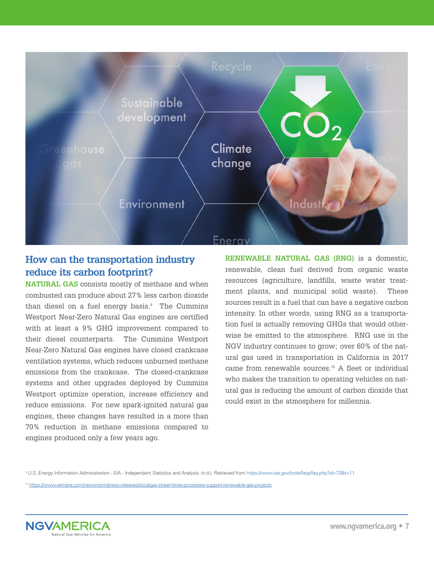

## **How can the transportation industry reduce its carbon footprint?**

**NATURAL GAS** consists mostly of methane and when combusted can produce about 27% less carbon dioxide than diesel on a fuel energy basis. $9$  The Cummins Westport Near-Zero Natural Gas engines are certified with at least a 9% GHG improvement compared to their diesel counterparts. The Cummins Westport Near-Zero Natural Gas engines have closed crankcase ventilation systems, which reduces unburned methane emissions from the crankcase. The closed-crankcase systems and other upgrades deployed by Cummins Westport optimize operation, increase efficiency and reduce emissions. For new spark-ignited natural gas engines, these changes have resulted in a more than 70% reduction in methane emissions compared to engines produced only a few years ago.

**RENEWABLE NATURAL GAS (RNG)** is a domestic, renewable, clean fuel derived from organic waste resources (agriculture, landfills, waste water treatment plants, and municipal solid waste). These sources result in a fuel that can have a negative carbon intensity. In other words, using RNG as a transportation fuel is actually removing GHGs that would otherwise be emitted to the atmosphere. RNG use in the NGV industry continues to grow; over 60% of the natural gas used in transportation in California in 2017 came from renewable sources.10 A fleet or individual who makes the transition to operating vehicles on natural gas is reducing the amount of carbon dioxide that could exist in the atmosphere for millennia.

<sup>9</sup> U.S. Energy Information Administration - EIA - Independent Statistics and Analysis. (n.d.). Retrieved from https://www.eia.gov/tools/faqs/faq.php?id=73&t=11

<sup>10</sup> https://www.sempra.com/newsroom/press-releases/socalgas-streamlines-processes-support-renewable-gas-projects